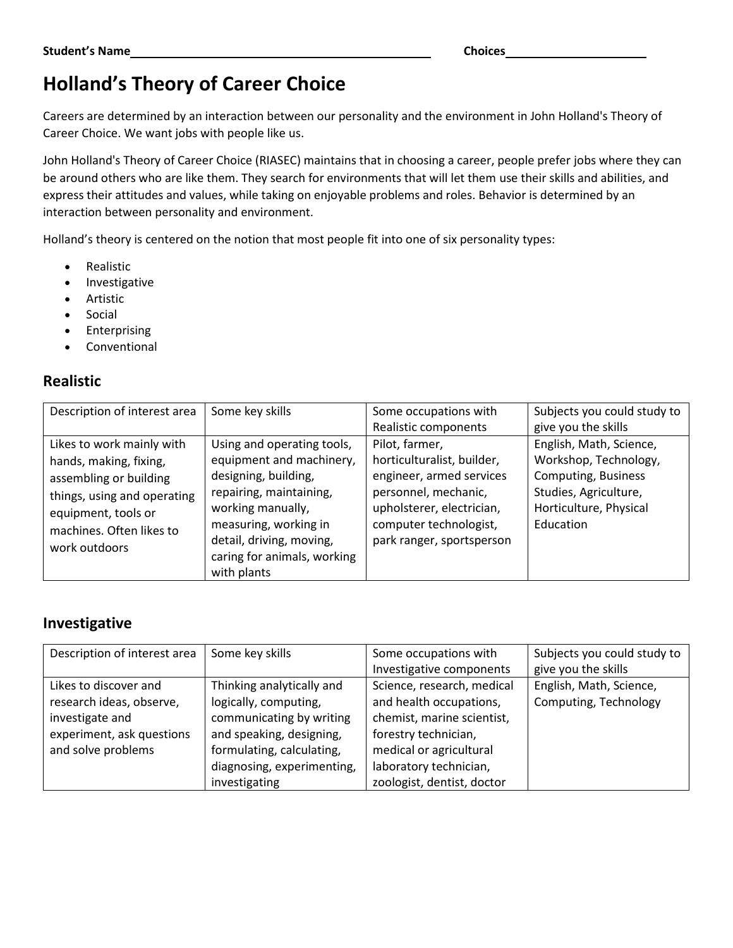# **Holland's Theory of Career Choice**

Careers are determined by an interaction between our personality and the environment in John Holland's Theory of Career Choice. We want jobs with people like us.

John Holland's Theory of Career Choice (RIASEC) maintains that in choosing a career, people prefer jobs where they can be around others who are like them. They search for environments that will let them use their skills and abilities, and express their attitudes and values, while taking on enjoyable problems and roles. Behavior is determined by an interaction between personality and environment.

Holland's theory is centered on the notion that most people fit into one of six personality types:

- Realistic
- Investigative
- Artistic
- Social
- **Enterprising**
- **Conventional**

#### **Realistic**

| Description of interest area                                                                                                                                                     | Some key skills                                                                                                                                                                                                    | Some occupations with                                                                                                                                                                | Subjects you could study to                                                                                                                    |
|----------------------------------------------------------------------------------------------------------------------------------------------------------------------------------|--------------------------------------------------------------------------------------------------------------------------------------------------------------------------------------------------------------------|--------------------------------------------------------------------------------------------------------------------------------------------------------------------------------------|------------------------------------------------------------------------------------------------------------------------------------------------|
|                                                                                                                                                                                  |                                                                                                                                                                                                                    | Realistic components                                                                                                                                                                 | give you the skills                                                                                                                            |
| Likes to work mainly with<br>hands, making, fixing,<br>assembling or building<br>things, using and operating<br>equipment, tools or<br>machines. Often likes to<br>work outdoors | Using and operating tools,<br>equipment and machinery,<br>designing, building,<br>repairing, maintaining,<br>working manually,<br>measuring, working in<br>detail, driving, moving,<br>caring for animals, working | Pilot, farmer,<br>horticulturalist, builder,<br>engineer, armed services<br>personnel, mechanic,<br>upholsterer, electrician,<br>computer technologist,<br>park ranger, sportsperson | English, Math, Science,<br>Workshop, Technology,<br><b>Computing, Business</b><br>Studies, Agriculture,<br>Horticulture, Physical<br>Education |
|                                                                                                                                                                                  | with plants                                                                                                                                                                                                        |                                                                                                                                                                                      |                                                                                                                                                |

#### **Investigative**

| Description of interest area | Some key skills            | Some occupations with      | Subjects you could study to |
|------------------------------|----------------------------|----------------------------|-----------------------------|
|                              |                            | Investigative components   | give you the skills         |
| Likes to discover and        | Thinking analytically and  | Science, research, medical | English, Math, Science,     |
| research ideas, observe,     | logically, computing,      | and health occupations,    | Computing, Technology       |
| investigate and              | communicating by writing   | chemist, marine scientist, |                             |
| experiment, ask questions    | and speaking, designing,   | forestry technician,       |                             |
| and solve problems           | formulating, calculating,  | medical or agricultural    |                             |
|                              | diagnosing, experimenting, | laboratory technician,     |                             |
|                              | investigating              | zoologist, dentist, doctor |                             |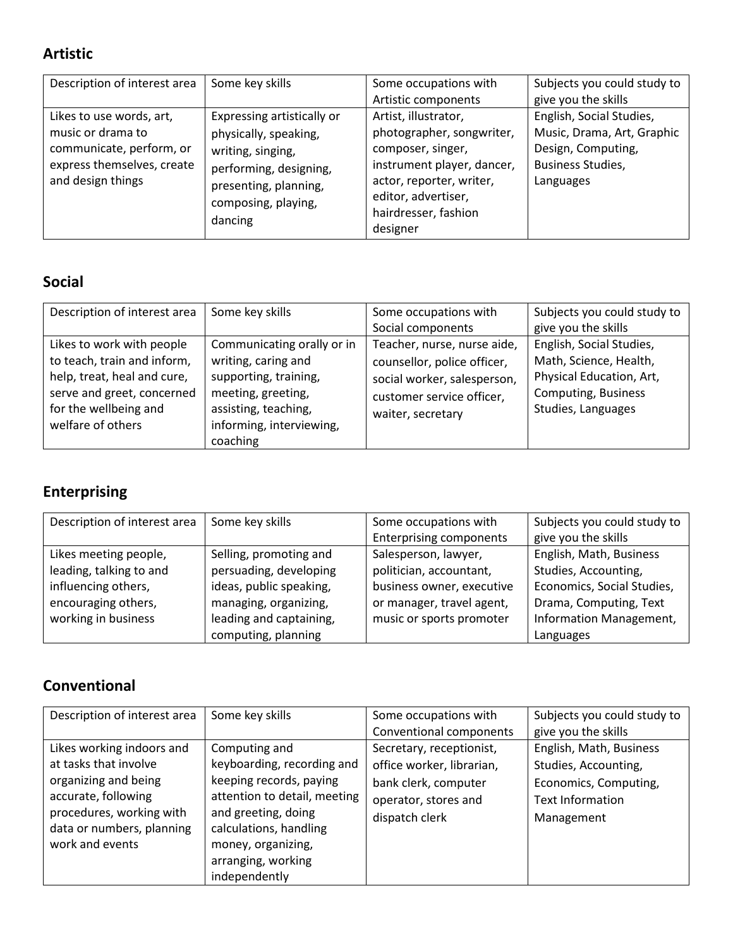### **Artistic**

| Description of interest area                                                                                                 | Some key skills                                                                                                                                               | Some occupations with<br>Artistic components                                                                                                                                                | Subjects you could study to<br>give you the skills                                                                    |
|------------------------------------------------------------------------------------------------------------------------------|---------------------------------------------------------------------------------------------------------------------------------------------------------------|---------------------------------------------------------------------------------------------------------------------------------------------------------------------------------------------|-----------------------------------------------------------------------------------------------------------------------|
| Likes to use words, art,<br>music or drama to<br>communicate, perform, or<br>express themselves, create<br>and design things | Expressing artistically or<br>physically, speaking,<br>writing, singing,<br>performing, designing,<br>presenting, planning,<br>composing, playing,<br>dancing | Artist, illustrator,<br>photographer, songwriter,<br>composer, singer,<br>instrument player, dancer,<br>actor, reporter, writer,<br>editor, advertiser,<br>hairdresser, fashion<br>designer | English, Social Studies,<br>Music, Drama, Art, Graphic<br>Design, Computing,<br><b>Business Studies,</b><br>Languages |

#### **Social**

| Description of interest area                                                                                                                                        | Some key skills                                                                                                                                                  | Some occupations with<br>Social components                                                                                                  | Subjects you could study to<br>give you the skills                                                                                 |
|---------------------------------------------------------------------------------------------------------------------------------------------------------------------|------------------------------------------------------------------------------------------------------------------------------------------------------------------|---------------------------------------------------------------------------------------------------------------------------------------------|------------------------------------------------------------------------------------------------------------------------------------|
| Likes to work with people<br>to teach, train and inform,<br>help, treat, heal and cure,<br>serve and greet, concerned<br>for the wellbeing and<br>welfare of others | Communicating orally or in<br>writing, caring and<br>supporting, training,<br>meeting, greeting,<br>assisting, teaching,<br>informing, interviewing,<br>coaching | Teacher, nurse, nurse aide,<br>counsellor, police officer,<br>social worker, salesperson,<br>customer service officer,<br>waiter, secretary | English, Social Studies,<br>Math, Science, Health,<br>Physical Education, Art,<br><b>Computing, Business</b><br>Studies, Languages |

## **Enterprising**

| Description of interest area | Some key skills         | Some occupations with          | Subjects you could study to |
|------------------------------|-------------------------|--------------------------------|-----------------------------|
|                              |                         | <b>Enterprising components</b> | give you the skills         |
| Likes meeting people,        | Selling, promoting and  | Salesperson, lawyer,           | English, Math, Business     |
| leading, talking to and      | persuading, developing  | politician, accountant,        | Studies, Accounting,        |
| influencing others,          | ideas, public speaking, | business owner, executive      | Economics, Social Studies,  |
| encouraging others,          | managing, organizing,   | or manager, travel agent,      | Drama, Computing, Text      |
| working in business          | leading and captaining, | music or sports promoter       | Information Management,     |
|                              | computing, planning     |                                | Languages                   |

### **Conventional**

| Description of interest area                                                                                                                                                  | Some key skills                                                                                                                                                                                                      | Some occupations with<br>Conventional components                                                                        | Subjects you could study to<br>give you the skills                                                                |
|-------------------------------------------------------------------------------------------------------------------------------------------------------------------------------|----------------------------------------------------------------------------------------------------------------------------------------------------------------------------------------------------------------------|-------------------------------------------------------------------------------------------------------------------------|-------------------------------------------------------------------------------------------------------------------|
| Likes working indoors and<br>at tasks that involve<br>organizing and being<br>accurate, following<br>procedures, working with<br>data or numbers, planning<br>work and events | Computing and<br>keyboarding, recording and<br>keeping records, paying<br>attention to detail, meeting<br>and greeting, doing<br>calculations, handling<br>money, organizing,<br>arranging, working<br>independently | Secretary, receptionist,<br>office worker, librarian,<br>bank clerk, computer<br>operator, stores and<br>dispatch clerk | English, Math, Business<br>Studies, Accounting,<br>Economics, Computing,<br><b>Text Information</b><br>Management |